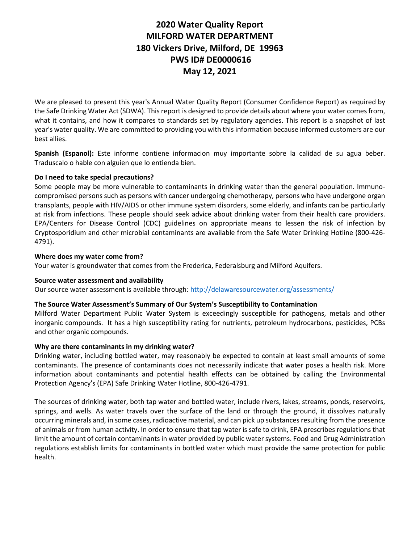### **2020 Water Quality Report MILFORD WATER DEPARTMENT 180 Vickers Drive, Milford, DE 19963 PWS ID# DE0000616 May 12, 2021**

We are pleased to present this year's Annual Water Quality Report (Consumer Confidence Report) as required by the Safe Drinking Water Act (SDWA). This report is designed to provide details about where your water comes from, what it contains, and how it compares to standards set by regulatory agencies. This report is a snapshot of last year's water quality. We are committed to providing you with this information because informed customers are our best allies.

**Spanish (Espanol):** Este informe contiene informacion muy importante sobre la calidad de su agua beber. Traduscalo o hable con alguien que lo entienda bien.

### **Do I need to take special precautions?**

Some people may be more vulnerable to contaminants in drinking water than the general population. Immunocompromised persons such as persons with cancer undergoing chemotherapy, persons who have undergone organ transplants, people with HIV/AIDS or other immune system disorders, some elderly, and infants can be particularly at risk from infections. These people should seek advice about drinking water from their health care providers. EPA/Centers for Disease Control (CDC) guidelines on appropriate means to lessen the risk of infection by Cryptosporidium and other microbial contaminants are available from the Safe Water Drinking Hotline (800-426- 4791).

#### **Where does my water come from?**

Your water is groundwater that comes from the Frederica, Federalsburg and Milford Aquifers.

#### **Source water assessment and availability**

Our source water assessment is available through[: http://delawaresourcewater.org/assessments/](http://delawaresourcewater.org/assessments/)

#### **The Source Water Assessment's Summary of Our System's Susceptibility to Contamination**

Milford Water Department Public Water System is exceedingly susceptible for pathogens, metals and other inorganic compounds. It has a high susceptibility rating for nutrients, petroleum hydrocarbons, pesticides, PCBs and other organic compounds.

#### **Why are there contaminants in my drinking water?**

Drinking water, including bottled water, may reasonably be expected to contain at least small amounts of some contaminants. The presence of contaminants does not necessarily indicate that water poses a health risk. More information about contaminants and potential health effects can be obtained by calling the Environmental Protection Agency's (EPA) Safe Drinking Water Hotline, 800-426-4791.

The sources of drinking water, both tap water and bottled water, include rivers, lakes, streams, ponds, reservoirs, springs, and wells. As water travels over the surface of the land or through the ground, it dissolves naturally occurring minerals and, in some cases, radioactive material, and can pick up substances resulting from the presence of animals or from human activity. In order to ensure that tap water is safe to drink, EPA prescribes regulations that limit the amount of certain contaminants in water provided by public water systems. Food and Drug Administration regulations establish limits for contaminants in bottled water which must provide the same protection for public health.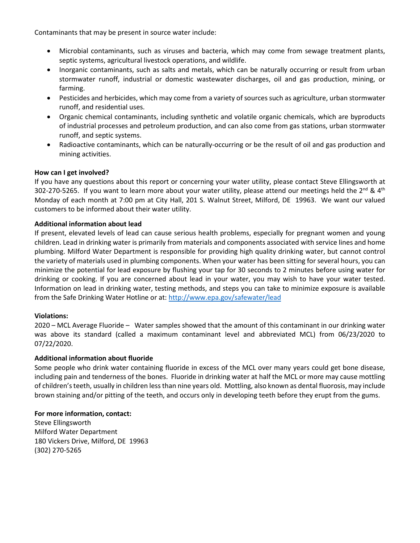Contaminants that may be present in source water include:

- Microbial contaminants, such as viruses and bacteria, which may come from sewage treatment plants, septic systems, agricultural livestock operations, and wildlife.
- Inorganic contaminants, such as salts and metals, which can be naturally occurring or result from urban stormwater runoff, industrial or domestic wastewater discharges, oil and gas production, mining, or farming.
- Pesticides and herbicides, which may come from a variety of sources such as agriculture, urban stormwater runoff, and residential uses.
- Organic chemical contaminants, including synthetic and volatile organic chemicals, which are byproducts of industrial processes and petroleum production, and can also come from gas stations, urban stormwater runoff, and septic systems.
- Radioactive contaminants, which can be naturally-occurring or be the result of oil and gas production and mining activities.

#### **How can I get involved?**

If you have any questions about this report or concerning your water utility, please contact Steve Ellingsworth at 302-270-5265. If you want to learn more about your water utility, please attend our meetings held the  $2^{nd}$  &  $4^{th}$ Monday of each month at 7:00 pm at City Hall, 201 S. Walnut Street, Milford, DE 19963. We want our valued customers to be informed about their water utility.

#### **Additional information about lead**

If present, elevated levels of lead can cause serious health problems, especially for pregnant women and young children. Lead in drinking water is primarily from materials and components associated with service lines and home plumbing. Milford Water Department is responsible for providing high quality drinking water, but cannot control the variety of materials used in plumbing components. When your water has been sitting for several hours, you can minimize the potential for lead exposure by flushing your tap for 30 seconds to 2 minutes before using water for drinking or cooking. If you are concerned about lead in your water, you may wish to have your water tested. Information on lead in drinking water, testing methods, and steps you can take to minimize exposure is available from the Safe Drinking Water Hotline or at:<http://www.epa.gov/safewater/lead>

#### **Violations:**

2020 – MCL Average Fluoride – Water samples showed that the amount of this contaminant in our drinking water was above its standard (called a maximum contaminant level and abbreviated MCL) from 06/23/2020 to 07/22/2020.

#### **Additional information about fluoride**

Some people who drink water containing fluoride in excess of the MCL over many years could get bone disease, including pain and tenderness of the bones. Fluoride in drinking water at half the MCL or more may cause mottling of children's teeth, usually in children less than nine years old. Mottling, also known as dental fluorosis, may include brown staining and/or pitting of the teeth, and occurs only in developing teeth before they erupt from the gums.

#### **For more information, contact:**

Steve Ellingsworth Milford Water Department 180 Vickers Drive, Milford, DE 19963 (302) 270-5265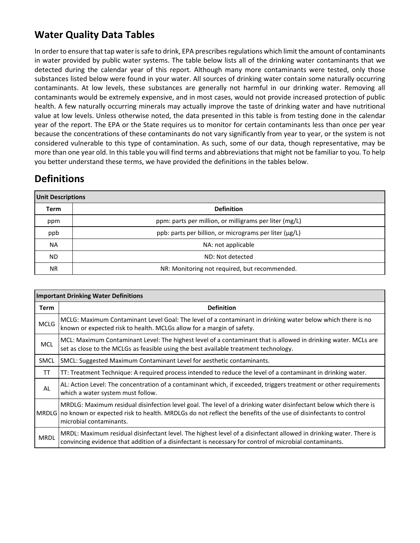# **Water Quality Data Tables**

In order to ensure that tap water is safe to drink, EPA prescribes regulations which limit the amount of contaminants in water provided by public water systems. The table below lists all of the drinking water contaminants that we detected during the calendar year of this report. Although many more contaminants were tested, only those substances listed below were found in your water. All sources of drinking water contain some naturally occurring contaminants. At low levels, these substances are generally not harmful in our drinking water. Removing all contaminants would be extremely expensive, and in most cases, would not provide increased protection of public health. A few naturally occurring minerals may actually improve the taste of drinking water and have nutritional value at low levels. Unless otherwise noted, the data presented in this table is from testing done in the calendar year of the report. The EPA or the State requires us to monitor for certain contaminants less than once per year because the concentrations of these contaminants do not vary significantly from year to year, or the system is not considered vulnerable to this type of contamination. As such, some of our data, though representative, may be more than one year old. In this table you will find terms and abbreviations that might not be familiar to you. To help you better understand these terms, we have provided the definitions in the tables below.

## **Definitions**

| <b>Unit Descriptions</b> |                                                        |  |  |  |  |  |  |  |
|--------------------------|--------------------------------------------------------|--|--|--|--|--|--|--|
| Term                     | <b>Definition</b>                                      |  |  |  |  |  |  |  |
| ppm                      | ppm: parts per million, or milligrams per liter (mg/L) |  |  |  |  |  |  |  |
| ppb                      | ppb: parts per billion, or micrograms per liter (µg/L) |  |  |  |  |  |  |  |
| NA.                      | NA: not applicable                                     |  |  |  |  |  |  |  |
| ND.                      | ND: Not detected                                       |  |  |  |  |  |  |  |
| NR.                      | NR: Monitoring not required, but recommended.          |  |  |  |  |  |  |  |

| <b>Important Drinking Water Definitions</b> |                                                                                                                                                                                                                                                                     |  |  |  |  |
|---------------------------------------------|---------------------------------------------------------------------------------------------------------------------------------------------------------------------------------------------------------------------------------------------------------------------|--|--|--|--|
| <b>Term</b>                                 | <b>Definition</b>                                                                                                                                                                                                                                                   |  |  |  |  |
| <b>MCLG</b>                                 | MCLG: Maximum Contaminant Level Goal: The level of a contaminant in drinking water below which there is no<br>known or expected risk to health. MCLGs allow for a margin of safety.                                                                                 |  |  |  |  |
| <b>MCL</b>                                  | MCL: Maximum Contaminant Level: The highest level of a contaminant that is allowed in drinking water. MCLs are<br>set as close to the MCLGs as feasible using the best available treatment technology.                                                              |  |  |  |  |
| <b>SMCL</b>                                 | SMCL: Suggested Maximum Contaminant Level for aesthetic contaminants.                                                                                                                                                                                               |  |  |  |  |
| TT                                          | TT: Treatment Technique: A required process intended to reduce the level of a contaminant in drinking water.                                                                                                                                                        |  |  |  |  |
| AL                                          | AL: Action Level: The concentration of a contaminant which, if exceeded, triggers treatment or other requirements<br>which a water system must follow.                                                                                                              |  |  |  |  |
|                                             | MRDLG: Maximum residual disinfection level goal. The level of a drinking water disinfectant below which there is<br>MRDLG no known or expected risk to health. MRDLGs do not reflect the benefits of the use of disinfectants to control<br>microbial contaminants. |  |  |  |  |
| <b>MRDL</b>                                 | MRDL: Maximum residual disinfectant level. The highest level of a disinfectant allowed in drinking water. There is<br>convincing evidence that addition of a disinfectant is necessary for control of microbial contaminants.                                       |  |  |  |  |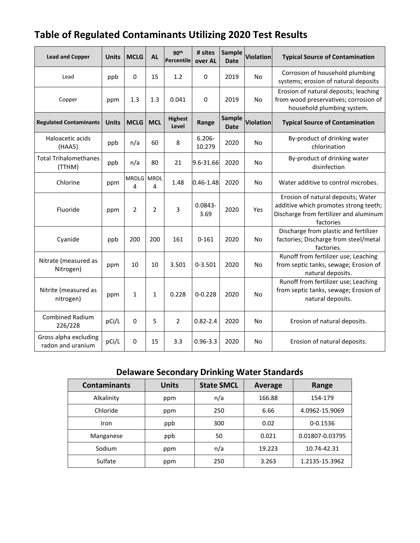| <b>Table of Regulated Contaminants Utilizing 2020 Test Results</b> |  |
|--------------------------------------------------------------------|--|
|--------------------------------------------------------------------|--|

| <b>Lead and Copper</b>                     | <b>Units</b> | <b>MCLG</b>     | <b>AL</b>    | 90 <sup>th</sup><br>Percentile | # sites<br>over AL  | Sample<br><b>Date</b> | <b>Violation</b> | <b>Typical Source of Contamination</b>                                                                                             |
|--------------------------------------------|--------------|-----------------|--------------|--------------------------------|---------------------|-----------------------|------------------|------------------------------------------------------------------------------------------------------------------------------------|
| Lead                                       | ppb          | 0               | 15           | 1.2                            | 0                   | 2019                  | <b>No</b>        | Corrosion of household plumbing<br>systems; erosion of natural deposits                                                            |
| Copper                                     | ppm          | 1.3             | 1.3          | 0.041                          | $\mathbf 0$         | 2019                  | <b>No</b>        | Erosion of natural deposits; leaching<br>from wood preservatives; corrosion of<br>household plumbing system.                       |
| <b>Regulated Contaminants</b>              | <b>Units</b> | <b>MCLG</b>     | <b>MCL</b>   | <b>Highest</b><br>Level        | Range               | Sample<br><b>Date</b> | <b>Violation</b> | <b>Typical Source of Contamination</b>                                                                                             |
| Haloacetic acids<br>(HAA5)                 | ppb          | n/a             | 60           | 8                              | $6.206 -$<br>10.279 | 2020                  | <b>No</b>        | By-product of drinking water<br>chlorination                                                                                       |
| <b>Total Trihalomethanes</b><br>(TTHM)     | ppb          | n/a             | 80           | 21                             | 9.6-31.66           | 2020                  | <b>No</b>        | By-product of drinking water<br>disinfection                                                                                       |
| Chlorine                                   | ppm          | MRDLG MRDL<br>4 | 4            | 1.48                           | $0.46 - 1.48$       | 2020                  | No               | Water additive to control microbes.                                                                                                |
| Fluoride                                   | ppm          | $\overline{2}$  | 2            | 3                              | $0.0843 -$<br>3.69  | 2020                  | Yes              | Erosion of natural deposits; Water<br>additive which promotes strong teeth;<br>Discharge from fertilizer and aluminum<br>factories |
| Cyanide                                    | ppb          | 200             | 200          | 161                            | $0 - 161$           | 2020                  | <b>No</b>        | Discharge from plastic and fertilizer<br>factories; Discharge from steel/metal<br>factories.                                       |
| Nitrate (measured as<br>Nitrogen)          | ppm          | 10              | 10           | 3.501                          | $0 - 3.501$         | 2020                  | <b>No</b>        | Runoff from fertilizer use; Leaching<br>from septic tanks, sewage; Erosion of<br>natural deposits.                                 |
| Nitrite (measured as<br>nitrogen)          | ppm          | $\mathbf{1}$    | $\mathbf{1}$ | 0.228                          | $0 - 0.228$         | 2020                  | No               | Runoff from fertilizer use; Leaching<br>from septic tanks, sewage; Erosion of<br>natural deposits.                                 |
| <b>Combined Radium</b><br>226/228          | pCi/L        | 0               | 5            | $\overline{2}$                 | $0.82 - 2.4$        | 2020                  | No               | Erosion of natural deposits.                                                                                                       |
| Gross alpha excluding<br>radon and uranium | pCi/L        | 0               | 15           | 3.3                            | $0.96 - 3.3$        | 2020                  | No               | Erosion of natural deposits.                                                                                                       |

### **Delaware Secondary Drinking Water Standards**

|                     |              | -                 |         |                 |
|---------------------|--------------|-------------------|---------|-----------------|
| <b>Contaminants</b> | <b>Units</b> | <b>State SMCL</b> | Average | Range           |
| Alkalinity          | ppm          | n/a               | 166.88  | 154-179         |
| Chloride            | ppm          | 250               | 6.66    | 4.0962-15.9069  |
| Iron                | ppb          | 300               | 0.02    | 0-0.1536        |
| Manganese           | ppb          | 50                | 0.021   | 0.01807-0.03795 |
| Sodium              | ppm          | n/a               | 19.223  | 10.74-42.31     |
| Sulfate             | ppm          | 250               | 3.263   | 1.2135-15.3962  |